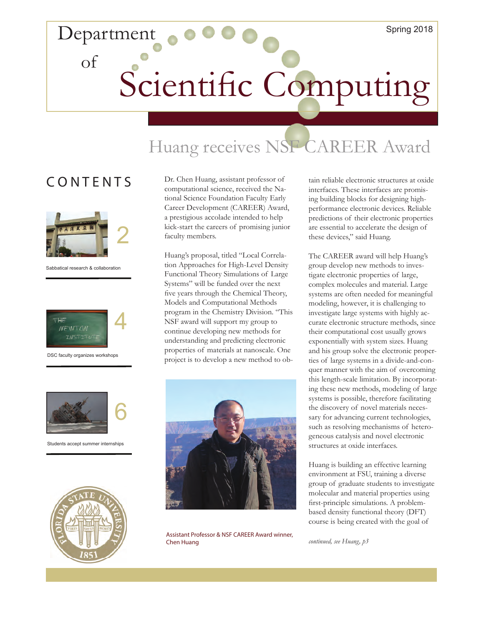# Department of Scientific Computing

## Huang receives NSF CAREER Award

### **CONTENTS**



Sabbatical research & collaboration



DSC faculty organizes workshops



Students accept summer internships



Dr. Chen Huang, assistant professor of computational science, received the National Science Foundation Faculty Early Career Development (CAREER) Award, a prestigious accolade intended to help kick-start the careers of promising junior faculty members.

Huang's proposal, titled "Local Correlation Approaches for High-Level Density Functional Theory Simulations of Large Systems" will be funded over the next five years through the Chemical Theory, Models and Computational Methods program in the Chemistry Division. "This NSF award will support my group to continue developing new methods for understanding and predicting electronic properties of materials at nanoscale. One project is to develop a new method to ob-



Assistant Professor & NSF CAREER Award winner, Chen Huang

tain reliable electronic structures at oxide interfaces. These interfaces are promising building blocks for designing highperformance electronic devices. Reliable predictions of their electronic properties are essential to accelerate the design of these devices," said Huang.

The CAREER award will help Huang's group develop new methods to investigate electronic properties of large, complex molecules and material. Large systems are often needed for meaningful modeling, however, it is challenging to investigate large systems with highly accurate electronic structure methods, since their computational cost usually grows exponentially with system sizes. Huang and his group solve the electronic properties of large systems in a divide-and-conquer manner with the aim of overcoming this length-scale limitation. By incorporating these new methods, modeling of large systems is possible, therefore facilitating the discovery of novel materials necessary for advancing current technologies, such as resolving mechanisms of heterogeneous catalysis and novel electronic structures at oxide interfaces.

Huang is building an effective learning environment at FSU, training a diverse group of graduate students to investigate molecular and material properties using first-principle simulations. A problembased density functional theory (DFT) course is being created with the goal of

*continued, see Huang, p3*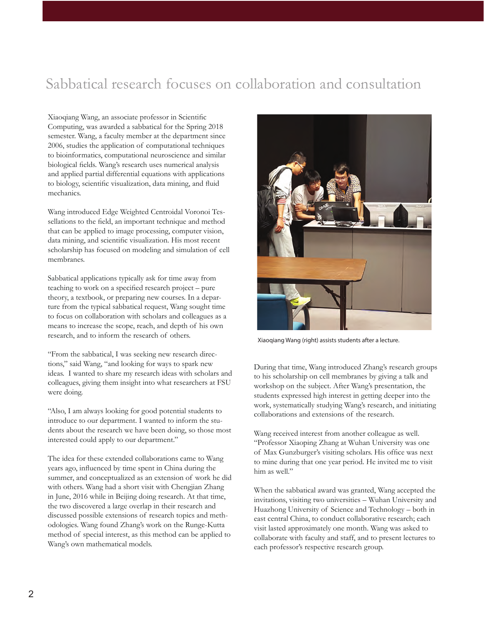## Sabbatical research focuses on collaboration and consultation

Xiaoqiang Wang, an associate professor in Scientific Computing, was awarded a sabbatical for the Spring 2018 semester. Wang, a faculty member at the department since 2006, studies the application of computational techniques to bioinformatics, computational neuroscience and similar biological fields. Wang's research uses numerical analysis and applied partial differential equations with applications to biology, scientific visualization, data mining, and fluid mechanics.

Wang introduced Edge Weighted Centroidal Voronoi Tessellations to the field, an important technique and method that can be applied to image processing, computer vision, data mining, and scientific visualization. His most recent scholarship has focused on modeling and simulation of cell membranes.

Sabbatical applications typically ask for time away from teaching to work on a specified research project – pure theory, a textbook, or preparing new courses. In a departure from the typical sabbatical request, Wang sought time to focus on collaboration with scholars and colleagues as a means to increase the scope, reach, and depth of his own research, and to inform the research of others.

"From the sabbatical, I was seeking new research directions," said Wang, "and looking for ways to spark new ideas. I wanted to share my research ideas with scholars and colleagues, giving them insight into what researchers at FSU were doing.

"Also, I am always looking for good potential students to introduce to our department. I wanted to inform the students about the research we have been doing, so those most interested could apply to our department."

The idea for these extended collaborations came to Wang years ago, influenced by time spent in China during the summer, and conceptualized as an extension of work he did with others. Wang had a short visit with Chengjian Zhang in June, 2016 while in Beijing doing research. At that time, the two discovered a large overlap in their research and discussed possible extensions of research topics and methodologies. Wang found Zhang's work on the Runge-Kutta method of special interest, as this method can be applied to Wang's own mathematical models.



Xiaoqiang Wang (right) assists students after a lecture.

During that time, Wang introduced Zhang's research groups to his scholarship on cell membranes by giving a talk and workshop on the subject. After Wang's presentation, the students expressed high interest in getting deeper into the work, systematically studying Wang's research, and initiating collaborations and extensions of the research.

Wang received interest from another colleague as well. "Professor Xiaoping Zhang at Wuhan University was one of Max Gunzburger's visiting scholars. His office was next to mine during that one year period. He invited me to visit him as well."

When the sabbatical award was granted, Wang accepted the invitations, visiting two universities – Wuhan University and Huazhong University of Science and Technology – both in east central China, to conduct collaborative research; each visit lasted approximately one month. Wang was asked to collaborate with faculty and staff, and to present lectures to each professor's respective research group.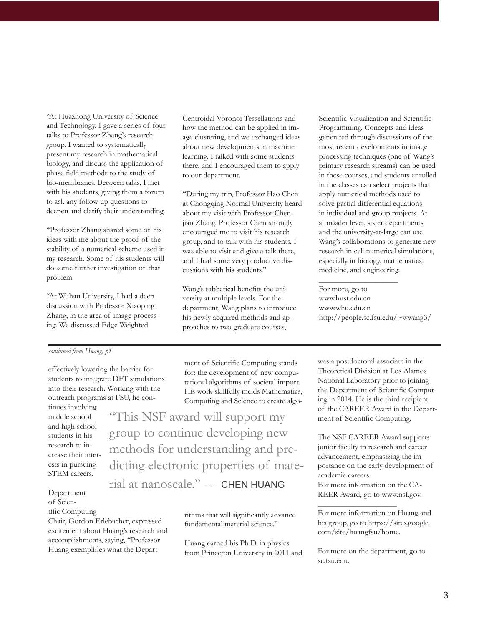"At Huazhong University of Science and Technology, I gave a series of four talks to Professor Zhang's research group. I wanted to systematically present my research in mathematical biology, and discuss the application of phase field methods to the study of bio-membranes. Between talks, I met with his students, giving them a forum to ask any follow up questions to deepen and clarify their understanding.

"Professor Zhang shared some of his ideas with me about the proof of the stability of a numerical scheme used in my research. Some of his students will do some further investigation of that problem.

"At Wuhan University, I had a deep discussion with Professor Xiaoping Zhang, in the area of image processing. We discussed Edge Weighted

### *continued from Huang, p1*

effectively lowering the barrier for students to integrate DFT simulations into their research. Working with the outreach programs at FSU, he con-

tinues involving middle school and high school students in his research to increase their interests in pursuing STEM careers.

Department of Scien-

#### tific Computing

Chair, Gordon Erlebacher, expressed excitement about Huang's research and accomplishments, saying, "Professor Huang exemplifies what the DepartCentroidal Voronoi Tessellations and how the method can be applied in image clustering, and we exchanged ideas about new developments in machine learning. I talked with some students there, and I encouraged them to apply to our department.

"During my trip, Professor Hao Chen at Chongqing Normal University heard about my visit with Professor Chenjian Zhang. Professor Chen strongly encouraged me to visit his research group, and to talk with his students. I was able to visit and give a talk there, and I had some very productive discussions with his students."

Wang's sabbatical benefits the university at multiple levels. For the department, Wang plans to introduce his newly acquired methods and approaches to two graduate courses,

Scientific Visualization and Scientific Programming. Concepts and ideas generated through discussions of the most recent developments in image processing techniques (one of Wang's primary research streams) can be used in these courses, and students enrolled in the classes can select projects that apply numerical methods used to solve partial differential equations in individual and group projects. At a broader level, sister departments and the university-at-large can use Wang's collaborations to generate new research in cell numerical simulations, especially in biology, mathematics, medicine, and engineering.

For more, go to www.hust.edu.cn www.whu.edu.cn http://people.sc.fsu.edu/~wwang3/

\_\_\_\_\_\_\_\_\_\_\_\_\_\_\_\_\_\_\_\_

ment of Scientific Computing stands for: the development of new computational algorithms of societal import. His work skillfully melds Mathematics, Computing and Science to create algo-

"This NSF award will support my group to continue developing new methods for understanding and predicting electronic properties of mate-

rial at nanoscale." --- CHEN HUANG

rithms that will significantly advance fundamental material science."

Huang earned his Ph.D. in physics from Princeton University in 2011 and was a postdoctoral associate in the Theoretical Division at Los Alamos National Laboratory prior to joining the Department of Scientific Computing in 2014. He is the third recipient of the CAREER Award in the Department of Scientific Computing.

The NSF CAREER Award supports junior faculty in research and career advancement, emphasizing the importance on the early development of academic careers. For more information on the CA-

REER Award, go to www.nsf.gov.

\_\_\_\_\_\_\_\_\_\_\_\_\_\_\_\_\_\_\_\_

For more information on Huang and his group, go to https://sites.google. com/site/huangfsu/home.

For more on the department, go to sc.fsu.edu.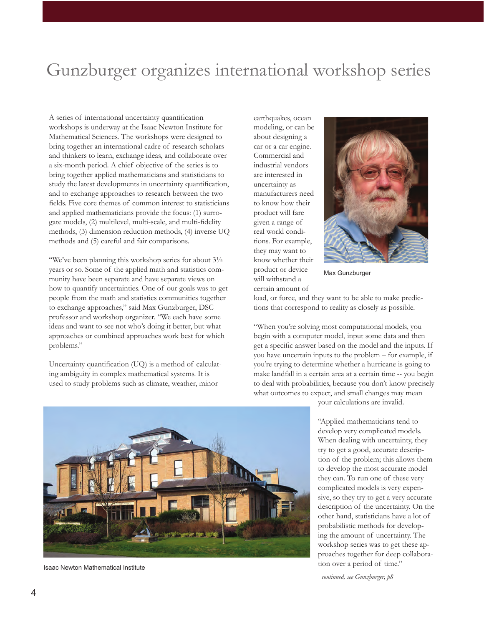## Gunzburger organizes international workshop series

A series of international uncertainty quantification workshops is underway at the Isaac Newton Institute for Mathematical Sciences. The workshops were designed to bring together an international cadre of research scholars and thinkers to learn, exchange ideas, and collaborate over a six-month period. A chief objective of the series is to bring together applied mathematicians and statisticians to study the latest developments in uncertainty quantification, and to exchange approaches to research between the two fields. Five core themes of common interest to statisticians and applied mathematicians provide the focus: (1) surrogate models, (2) multilevel, multi-scale, and multi-fidelity methods, (3) dimension reduction methods, (4) inverse UQ methods and (5) careful and fair comparisons.

"We've been planning this workshop series for about 3½ years or so. Some of the applied math and statistics community have been separate and have separate views on how to quantify uncertainties. One of our goals was to get people from the math and statistics communities together to exchange approaches," said Max Gunzburger, DSC professor and workshop organizer. "We each have some ideas and want to see not who's doing it better, but what approaches or combined approaches work best for which problems."

Uncertainty quantification (UQ) is a method of calculating ambiguity in complex mathematical systems. It is used to study problems such as climate, weather, minor

earthquakes, ocean modeling, or can be about designing a car or a car engine. Commercial and industrial vendors are interested in uncertainty as manufacturers need to know how their product will fare given a range of real world conditions. For example, they may want to know whether their product or device will withstand a certain amount of



Max Gunzburger

load, or force, and they want to be able to make predictions that correspond to reality as closely as possible.

"When you're solving most computational models, you begin with a computer model, input some data and then get a specific answer based on the model and the inputs. If you have uncertain inputs to the problem – for example, if you're trying to determine whether a hurricane is going to make landfall in a certain area at a certain time -- you begin to deal with probabilities, because you don't know precisely what outcomes to expect, and small changes may mean



"Applied mathematicians tend to develop very complicated models. When dealing with uncertainty, they try to get a good, accurate description of the problem; this allows them to develop the most accurate model they can. To run one of these very complicated models is very expensive, so they try to get a very accurate description of the uncertainty. On the other hand, statisticians have a lot of probabilistic methods for developing the amount of uncertainty. The workshop series was to get these approaches together for deep collabora-

*continued, see Gunzburger, p8*

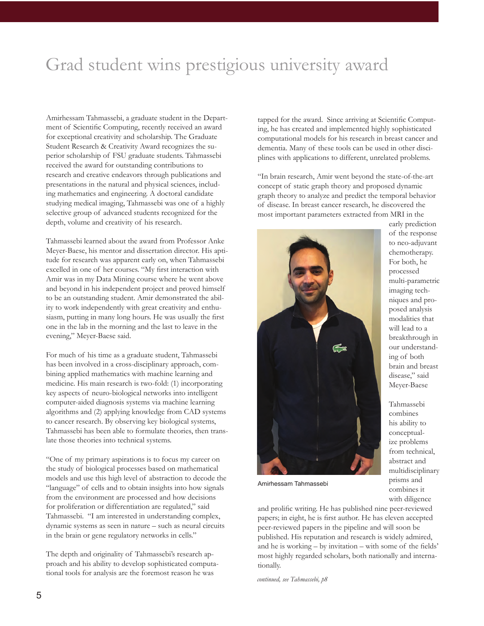## Grad student wins prestigious university award

Amirhessam Tahmassebi, a graduate student in the Department of Scientific Computing, recently received an award for exceptional creativity and scholarship. The Graduate Student Research & Creativity Award recognizes the superior scholarship of FSU graduate students. Tahmassebi received the award for outstanding contributions to research and creative endeavors through publications and presentations in the natural and physical sciences, including mathematics and engineering. A doctoral candidate studying medical imaging, Tahmassebi was one of a highly selective group of advanced students recognized for the depth, volume and creativity of his research.

Tahmassebi learned about the award from Professor Anke Meyer-Baese, his mentor and dissertation director. His aptitude for research was apparent early on, when Tahmassebi excelled in one of her courses. "My first interaction with Amir was in my Data Mining course where he went above and beyond in his independent project and proved himself to be an outstanding student. Amir demonstrated the ability to work independently with great creativity and enthusiasm, putting in many long hours. He was usually the first one in the lab in the morning and the last to leave in the evening," Meyer-Baese said.

For much of his time as a graduate student, Tahmassebi has been involved in a cross-disciplinary approach, combining applied mathematics with machine learning and medicine. His main research is two-fold: (1) incorporating key aspects of neuro-biological networks into intelligent computer-aided diagnosis systems via machine learning algorithms and (2) applying knowledge from CAD systems to cancer research. By observing key biological systems, Tahmassebi has been able to formulate theories, then translate those theories into technical systems.

"One of my primary aspirations is to focus my career on the study of biological processes based on mathematical models and use this high level of abstraction to decode the "language" of cells and to obtain insights into how signals from the environment are processed and how decisions for proliferation or differentiation are regulated," said Tahmassebi. "I am interested in understanding complex, dynamic systems as seen in nature – such as neural circuits in the brain or gene regulatory networks in cells."

The depth and originality of Tahmassebi's research approach and his ability to develop sophisticated computational tools for analysis are the foremost reason he was

tapped for the award. Since arriving at Scientific Computing, he has created and implemented highly sophisticated computational models for his research in breast cancer and dementia. Many of these tools can be used in other disciplines with applications to different, unrelated problems.

"In brain research, Amir went beyond the state-of-the-art concept of static graph theory and proposed dynamic graph theory to analyze and predict the temporal behavior of disease. In breast cancer research, he discovered the most important parameters extracted from MRI in the



early prediction of the response to neo-adjuvant chemotherapy. For both, he processed multi-parametric imaging techniques and proposed analysis modalities that will lead to a breakthrough in our understanding of both brain and breast disease," said Meyer-Baese

Tahmassebi combines his ability to conceptualize problems from technical, abstract and multidisciplinary prisms and combines it with diligence

Amirhessam Tahmassebi

and prolific writing. He has published nine peer-reviewed papers; in eight, he is first author. He has eleven accepted peer-reviewed papers in the pipeline and will soon be published. His reputation and research is widely admired, and he is working – by invitation – with some of the fields' most highly regarded scholars, both nationally and internationally.

*continued, see Tahmassebi, p8*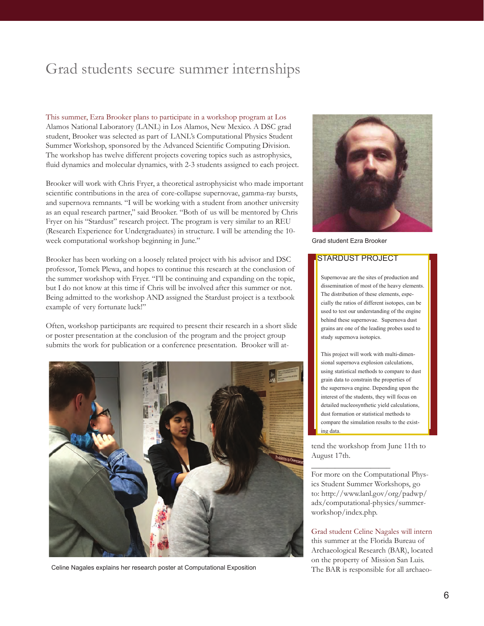## Grad students secure summer internships

This summer, Ezra Brooker plans to participate in a workshop program at Los Alamos National Laboratory (LANL) in Los Alamos, New Mexico. A DSC grad student, Brooker was selected as part of LANL's Computational Physics Student Summer Workshop, sponsored by the Advanced Scientific Computing Division. The workshop has twelve different projects covering topics such as astrophysics, fluid dynamics and molecular dynamics, with 2-3 students assigned to each project.

Brooker will work with Chris Fryer, a theoretical astrophysicist who made important scientific contributions in the area of core-collapse supernovae, gamma-ray bursts, and supernova remnants. "I will be working with a student from another university as an equal research partner," said Brooker. "Both of us will be mentored by Chris Fryer on his "Stardust" research project. The program is very similar to an REU (Research Experience for Undergraduates) in structure. I will be attending the 10 week computational workshop beginning in June."

Brooker has been working on a loosely related project with his advisor and DSC professor, Tomek Plewa, and hopes to continue this research at the conclusion of the summer workshop with Fryer. "I'll be continuing and expanding on the topic, but I do not know at this time if Chris will be involved after this summer or not. Being admitted to the workshop AND assigned the Stardust project is a textbook example of very fortunate luck!"

Often, workshop participants are required to present their research in a short slide or poster presentation at the conclusion of the program and the project group submits the work for publication or a conference presentation. Brooker will at-



Celine Nagales explains her research poster at Computational Exposition



Grad student Ezra Brooker

### STARDUST PROJECT

Supernovae are the sites of production and dissemination of most of the heavy elements. The distribution of these elements, especially the ratios of different isotopes, can be used to test our understanding of the engine behind these supernovae. Supernova dust grains are one of the leading probes used to study supernova isotopics.

This project will work with multi-dimensional supernova explosion calculations, using statistical methods to compare to dust grain data to constrain the properties of the supernova engine. Depending upon the interest of the students, they will focus on detailed nucleosynthetic yield calculations, dust formation or statistical methods to compare the simulation results to the existing data.

tend the workshop from June 11th to August 17th.

\_\_\_\_\_\_\_\_\_\_\_\_\_\_\_\_\_\_\_\_

For more on the Computational Physics Student Summer Workshops, go to: http://www.lanl.gov/org/padwp/ adx/computational-physics/summerworkshop/index.php.

Grad student Celine Nagales will intern this summer at the Florida Bureau of Archaeological Research (BAR), located on the property of Mission San Luis. The BAR is responsible for all archaeo-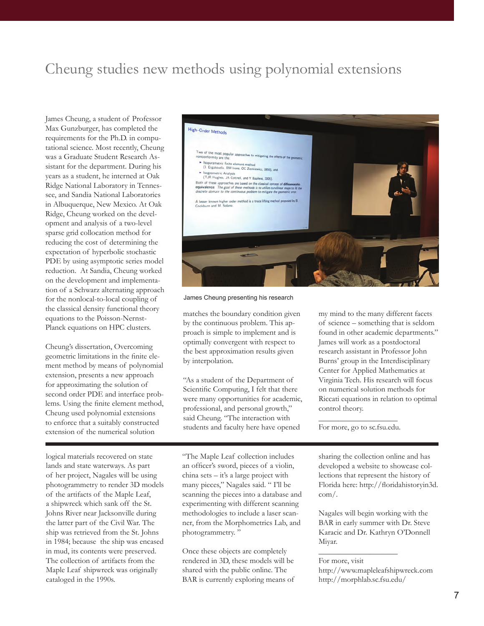### Cheung studies new methods using polynomial extensions

James Cheung, a student of Professor Max Gunzburger, has completed the requirements for the Ph.D. in computational science. Most recently, Cheung was a Graduate Student Research Assistant for the department. During his years as a student, he interned at Oak Ridge National Laboratory in Tennessee, and Sandia National Laboratories in Albuquerque, New Mexico. At Oak Ridge, Cheung worked on the development and analysis of a two-level sparse grid collocation method for reducing the cost of determining the expectation of hyperbolic stochastic PDE by using asymptotic series model reduction. At Sandia, Cheung worked on the development and implementation of a Schwarz alternating approach for the nonlocal-to-local coupling of the classical density functional theory equations to the Poisson-Nernst-Planck equations on HPC clusters.

Cheung's dissertation, Overcoming geometric limitations in the finite element method by means of polynomial extension, presents a new approach for approximating the solution of second order PDE and interface problems. Using the finite element method, Cheung used polynomial extensions to enforce that a suitably constructed extension of the numerical solution

logical materials recovered on state lands and state waterways. As part of her project, Nagales will be using photogrammetry to render 3D models of the artifacts of the Maple Leaf, a shipwreck which sank off the St. Johns River near Jacksonville during the latter part of the Civil War. The ship was retrieved from the St. Johns in 1984; because the ship was encased in mud, its contents were preserved. The collection of artifacts from the Maple Leaf shipwreck was originally cataloged in the 1990s.



James Cheung presenting his research

matches the boundary condition given by the continuous problem. This approach is simple to implement and is optimally convergent with respect to the best approximation results given by interpolation.

"As a student of the Department of Scientific Computing, I felt that there were many opportunities for academic, professional, and personal growth," said Cheung. "The interaction with students and faculty here have opened

"The Maple Leaf collection includes an officer's sword, pieces of a violin, china sets – it's a large project with many pieces," Nagales said. " I'll be scanning the pieces into a database and experimenting with different scanning methodologies to include a laser scanner, from the Morphometrics Lab, and photogrammetry. "

Once these objects are completely rendered in 3D, these models will be shared with the public online. The BAR is currently exploring means of my mind to the many different facets of science – something that is seldom found in other academic departments." James will work as a postdoctoral research assistant in Professor John Burns' group in the Interdisciplinary Center for Applied Mathematics at Virginia Tech. His research will focus on numerical solution methods for Riccati equations in relation to optimal control theory.

\_\_\_\_\_\_\_\_\_\_\_\_\_\_\_\_\_\_\_\_ For more, go to sc.fsu.edu.

sharing the collection online and has developed a website to showcase collections that represent the history of Florida here: http://floridahistoryin3d. com/.

Nagales will begin working with the BAR in early summer with Dr. Steve Karacic and Dr. Kathryn O'Donnell Miyar.

For more, visit

\_\_\_\_\_\_\_\_\_\_\_\_\_\_\_\_\_\_\_\_

http://www.mapleleafshipwreck.com http://morphlab.sc.fsu.edu/